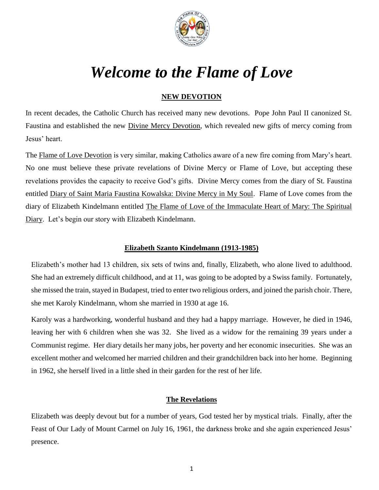

# *Welcome to the Flame of Love*

# **NEW DEVOTION**

In recent decades, the Catholic Church has received many new devotions. Pope John Paul II canonized St. Faustina and established the new Divine Mercy Devotion, which revealed new gifts of mercy coming from Jesus' heart.

The Flame of Love Devotion is very similar, making Catholics aware of a new fire coming from Mary's heart. No one must believe these private revelations of Divine Mercy or Flame of Love, but accepting these revelations provides the capacity to receive God's gifts. Divine Mercy comes from the diary of St. Faustina entitled Diary of Saint Maria Faustina Kowalska: Divine Mercy in My Soul. Flame of Love comes from the diary of Elizabeth Kindelmann entitled The Flame of Love of the Immaculate Heart of Mary: The Spiritual Diary. Let's begin our story with Elizabeth Kindelmann.

#### **Elizabeth Szanto Kindelmann (1913-1985)**

Elizabeth's mother had 13 children, six sets of twins and, finally, Elizabeth, who alone lived to adulthood. She had an extremely difficult childhood, and at 11, was going to be adopted by a Swiss family. Fortunately, she missed the train, stayed in Budapest, tried to enter two religious orders, and joined the parish choir. There, she met Karoly Kindelmann, whom she married in 1930 at age 16.

Karoly was a hardworking, wonderful husband and they had a happy marriage. However, he died in 1946, leaving her with 6 children when she was 32. She lived as a widow for the remaining 39 years under a Communist regime. Her diary details her many jobs, her poverty and her economic insecurities. She was an excellent mother and welcomed her married children and their grandchildren back into her home. Beginning in 1962, she herself lived in a little shed in their garden for the rest of her life.

## **The Revelations**

Elizabeth was deeply devout but for a number of years, God tested her by mystical trials. Finally, after the Feast of Our Lady of Mount Carmel on July 16, 1961, the darkness broke and she again experienced Jesus' presence.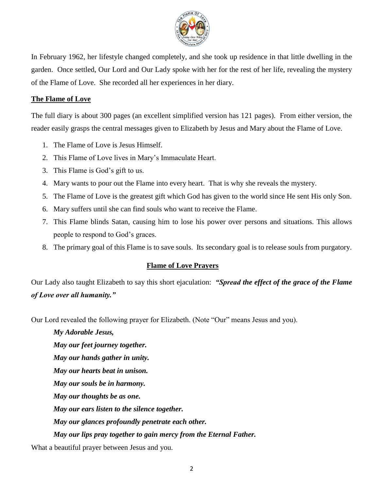

In February 1962, her lifestyle changed completely, and she took up residence in that little dwelling in the garden. Once settled, Our Lord and Our Lady spoke with her for the rest of her life, revealing the mystery of the Flame of Love. She recorded all her experiences in her diary.

#### **The Flame of Love**

The full diary is about 300 pages (an excellent simplified version has 121 pages). From either version, the reader easily grasps the central messages given to Elizabeth by Jesus and Mary about the Flame of Love.

- 1. The Flame of Love is Jesus Himself.
- 2. This Flame of Love lives in Mary's Immaculate Heart.
- 3. This Flame is God's gift to us.
- 4. Mary wants to pour out the Flame into every heart. That is why she reveals the mystery.
- 5. The Flame of Love is the greatest gift which God has given to the world since He sent His only Son.
- 6. Mary suffers until she can find souls who want to receive the Flame.
- 7. This Flame blinds Satan, causing him to lose his power over persons and situations. This allows people to respond to God's graces.
- 8. The primary goal of this Flame is to save souls. Its secondary goal is to release souls from purgatory.

#### **Flame of Love Prayers**

Our Lady also taught Elizabeth to say this short ejaculation: *"Spread the effect of the grace of the Flame of Love over all humanity."*

Our Lord revealed the following prayer for Elizabeth. (Note "Our" means Jesus and you).

*My Adorable Jesus, May our feet journey together. May our hands gather in unity. May our hearts beat in unison. May our souls be in harmony. May our thoughts be as one. May our ears listen to the silence together. May our glances profoundly penetrate each other. May our lips pray together to gain mercy from the Eternal Father.*

What a beautiful prayer between Jesus and you.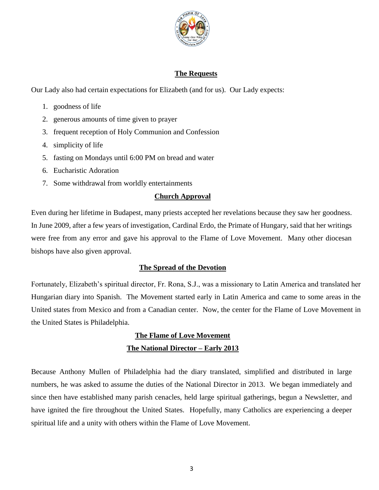

#### **The Requests**

Our Lady also had certain expectations for Elizabeth (and for us). Our Lady expects:

- 1. goodness of life
- 2. generous amounts of time given to prayer
- 3. frequent reception of Holy Communion and Confession
- 4. simplicity of life
- 5. fasting on Mondays until 6:00 PM on bread and water
- 6. Eucharistic Adoration
- 7. Some withdrawal from worldly entertainments

#### **Church Approval**

Even during her lifetime in Budapest, many priests accepted her revelations because they saw her goodness. In June 2009, after a few years of investigation, Cardinal Erdo, the Primate of Hungary, said that her writings were free from any error and gave his approval to the Flame of Love Movement. Many other diocesan bishops have also given approval.

## **The Spread of the Devotion**

Fortunately, Elizabeth's spiritual director, Fr. Rona, S.J., was a missionary to Latin America and translated her Hungarian diary into Spanish. The Movement started early in Latin America and came to some areas in the United states from Mexico and from a Canadian center. Now, the center for the Flame of Love Movement in the United States is Philadelphia.

# **The Flame of Love Movement The National Director – Early 2013**

Because Anthony Mullen of Philadelphia had the diary translated, simplified and distributed in large numbers, he was asked to assume the duties of the National Director in 2013. We began immediately and since then have established many parish cenacles, held large spiritual gatherings, begun a Newsletter, and have ignited the fire throughout the United States. Hopefully, many Catholics are experiencing a deeper spiritual life and a unity with others within the Flame of Love Movement.